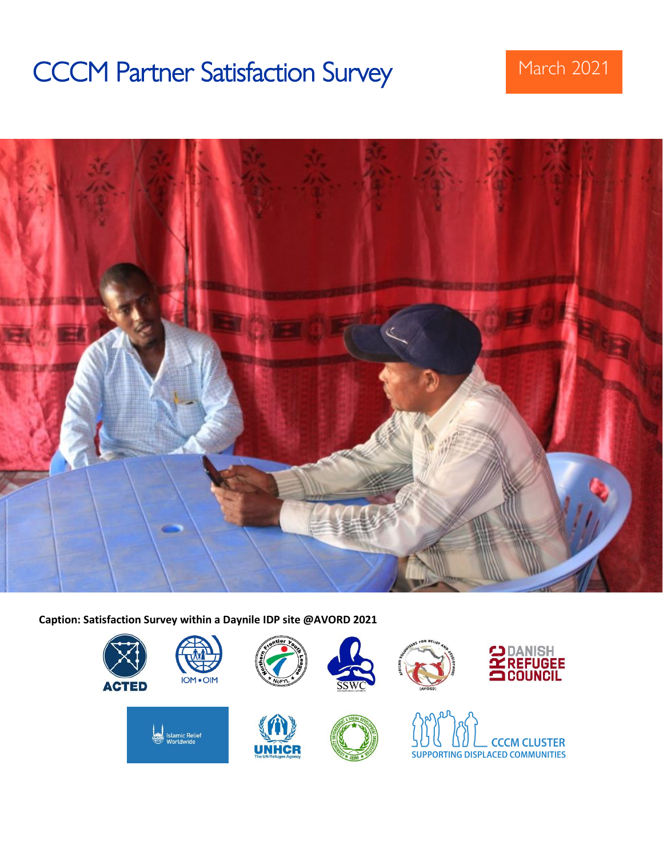# CCCM Partner Satisfaction Survey March 2021



**Caption: Satisfaction Survey within a Daynile IDP site @AVORD 2021**

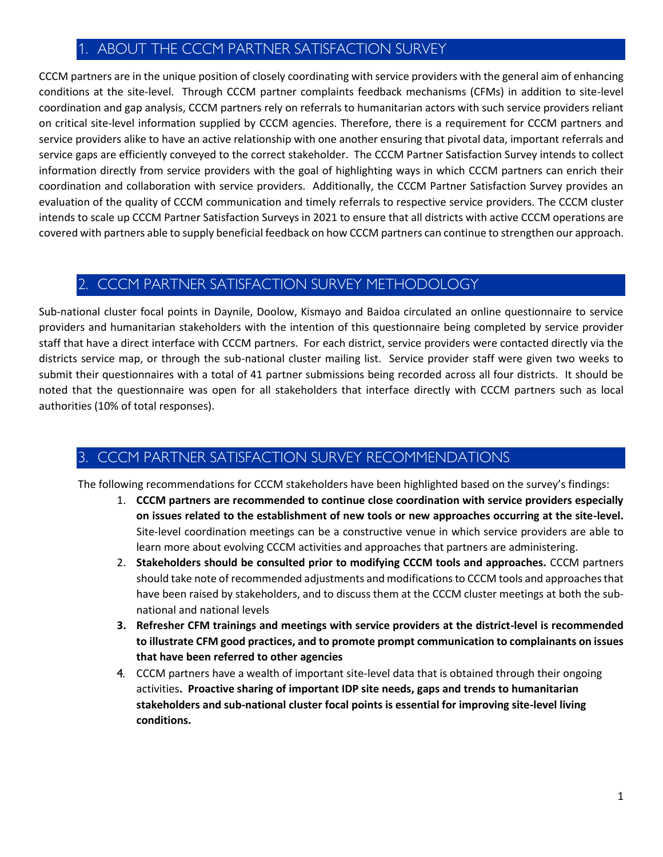# 1. ABOUT THE CCCM PARTNER SATISFACTION SURVEY

CCCM partners are in the unique position of closely coordinating with service providers with the general aim of enhancing conditions at the site-level. Through CCCM partner complaints feedback mechanisms (CFMs) in addition to site-level coordination and gap analysis, CCCM partners rely on referrals to humanitarian actors with such service providers reliant on critical site-level information supplied by CCCM agencies. Therefore, there is a requirement for CCCM partners and service providers alike to have an active relationship with one another ensuring that pivotal data, important referrals and service gaps are efficiently conveyed to the correct stakeholder. The CCCM Partner Satisfaction Survey intends to collect information directly from service providers with the goal of highlighting ways in which CCCM partners can enrich their coordination and collaboration with service providers. Additionally, the CCCM Partner Satisfaction Survey provides an evaluation of the quality of CCCM communication and timely referrals to respective service providers. The CCCM cluster intends to scale up CCCM Partner Satisfaction Surveys in 2021 to ensure that all districts with active CCCM operations are covered with partners able to supply beneficial feedback on how CCCM partners can continue to strengthen our approach.

# 2. CCCM PARTNER SATISFACTION SURVEY METHODOLOGY

Sub-national cluster focal points in Daynile, Doolow, Kismayo and Baidoa circulated an online questionnaire to service providers and humanitarian stakeholders with the intention of this questionnaire being completed by service provider staff that have a direct interface with CCCM partners. For each district, service providers were contacted directly via the districts service map, or through the sub-national cluster mailing list. Service provider staff were given two weeks to submit their questionnaires with a total of 41 partner submissions being recorded across all four districts. It should be noted that the questionnaire was open for all stakeholders that interface directly with CCCM partners such as local authorities (10% of total responses).

# 3. CCCM PARTNER SATISFACTION SURVEY RECOMMENDATIONS

The following recommendations for CCCM stakeholders have been highlighted based on the survey's findings:

- 1. **CCCM partners are recommended to continue close coordination with service providers especially on issues related to the establishment of new tools or new approaches occurring at the site-level.** Site-level coordination meetings can be a constructive venue in which service providers are able to learn more about evolving CCCM activities and approaches that partners are administering.
- 2. **Stakeholders should be consulted prior to modifying CCCM tools and approaches.** CCCM partners should take note of recommended adjustments and modifications to CCCM tools and approaches that have been raised by stakeholders, and to discuss them at the CCCM cluster meetings at both the subnational and national levels
- **3. Refresher CFM trainings and meetings with service providers at the district-level is recommended to illustrate CFM good practices, and to promote prompt communication to complainants on issues that have been referred to other agencies**
- 4. CCCM partners have a wealth of important site-level data that is obtained through their ongoing activities**. Proactive sharing of important IDP site needs, gaps and trends to humanitarian stakeholders and sub-national cluster focal points is essential for improving site-level living conditions.**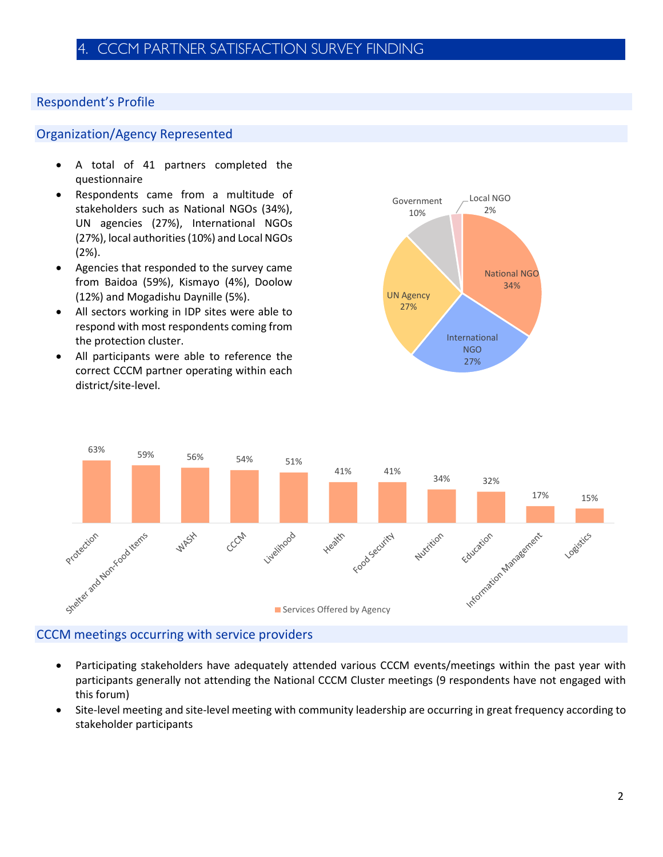# Respondent's Profile

# Organization/Agency Represented

- A total of 41 partners completed the questionnaire
- Respondents came from a multitude of stakeholders such as National NGOs (34%), UN agencies (27%), International NGOs (27%), local authorities (10%) and Local NGOs (2%).
- Agencies that responded to the survey came from Baidoa (59%), Kismayo (4%), Doolow (12%) and Mogadishu Daynille (5%).
- All sectors working in IDP sites were able to respond with most respondents coming from the protection cluster.
- All participants were able to reference the correct CCCM partner operating within each district/site-level.





#### CCCM meetings occurring with service providers

- Participating stakeholders have adequately attended various CCCM events/meetings within the past year with participants generally not attending the National CCCM Cluster meetings (9 respondents have not engaged with this forum)
- Site-level meeting and site-level meeting with community leadership are occurring in great frequency according to stakeholder participants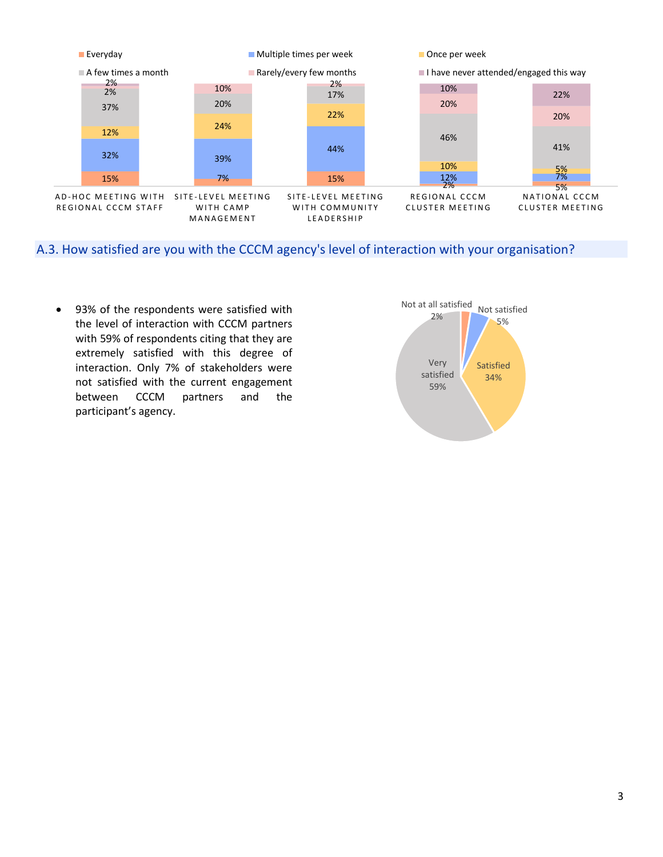

A.3. How satisfied are you with the CCCM agency's level of interaction with your organisation?

• 93% of the respondents were satisfied with the level of interaction with CCCM partners with 59% of respondents citing that they are extremely satisfied with this degree of interaction. Only 7% of stakeholders were not satisfied with the current engagement between CCCM partners and the participant's agency.

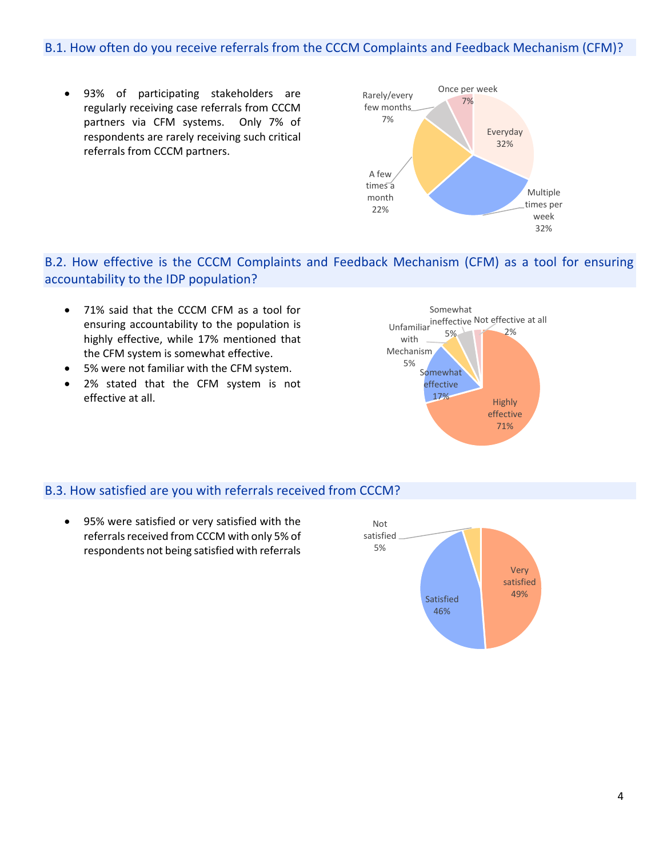# B.1. How often do you receive referrals from the CCCM Complaints and Feedback Mechanism (CFM)?

• 93% of participating stakeholders are regularly receiving case referrals from CCCM partners via CFM systems. Only 7% of respondents are rarely receiving such critical referrals from CCCM partners.



# B.2. How effective is the CCCM Complaints and Feedback Mechanism (CFM) as a tool for ensuring accountability to the IDP population?

- 71% said that the CCCM CFM as a tool for ensuring accountability to the population is highly effective, while 17% mentioned that the CFM system is somewhat effective.
- 5% were not familiar with the CFM system.
- 2% stated that the CFM system is not effective at all.



#### B.3. How satisfied are you with referrals received from CCCM?

• 95% were satisfied or very satisfied with the referrals received from CCCM with only 5% of respondents not being satisfied with referrals

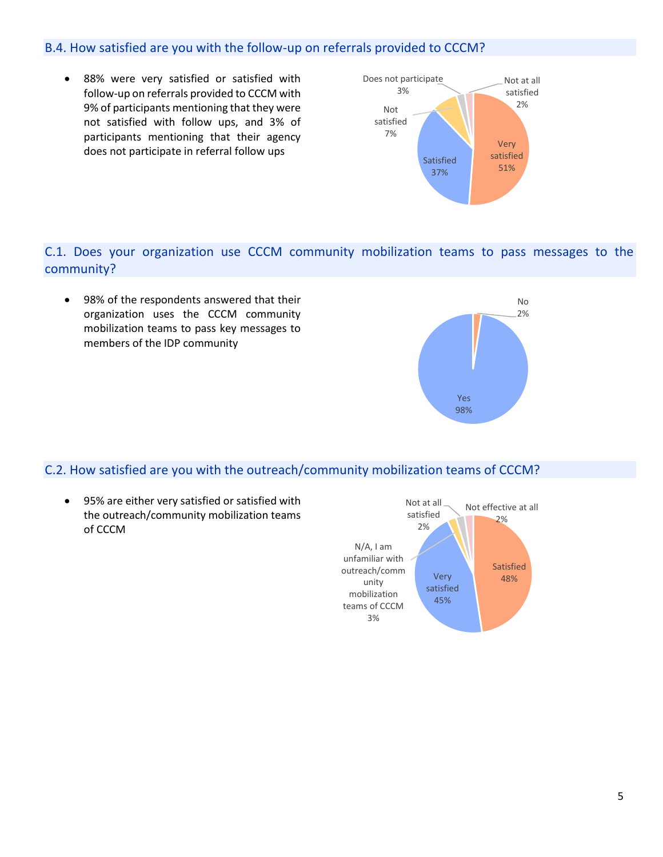## B.4. How satisfied are you with the follow-up on referrals provided to CCCM?

• 88% were very satisfied or satisfied with follow-up on referrals provided to CCCM with 9% of participants mentioning that they were not satisfied with follow ups, and 3% of participants mentioning that their agency does not participate in referral follow ups



C.1. Does your organization use CCCM community mobilization teams to pass messages to the community?

• 98% of the respondents answered that their organization uses the CCCM community mobilization teams to pass key messages to members of the IDP community



# C.2. How satisfied are you with the outreach/community mobilization teams of CCCM?

• 95% are either very satisfied or satisfied with the outreach/community mobilization teams of CCCM

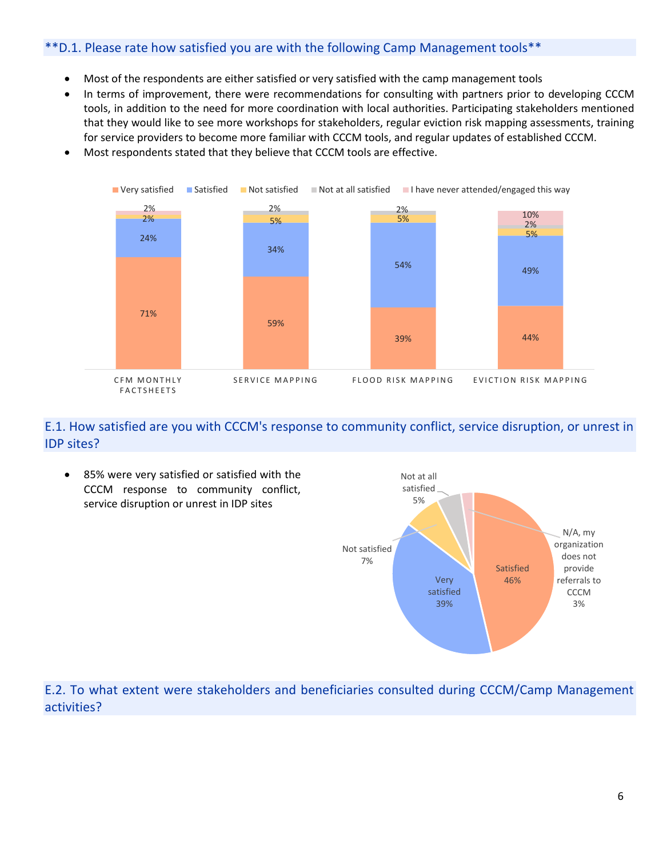# \*\*D.1. Please rate how satisfied you are with the following Camp Management tools\*\*

- Most of the respondents are either satisfied or very satisfied with the camp management tools
- In terms of improvement, there were recommendations for consulting with partners prior to developing CCCM tools, in addition to the need for more coordination with local authorities. Participating stakeholders mentioned that they would like to see more workshops for stakeholders, regular eviction risk mapping assessments, training for service providers to become more familiar with CCCM tools, and regular updates of established CCCM.
- Most respondents stated that they believe that CCCM tools are effective.



## E.1. How satisfied are you with CCCM's response to community conflict, service disruption, or unrest in IDP sites?

• 85% were very satisfied or satisfied with the CCCM response to community conflict, service disruption or unrest in IDP sites



# E.2. To what extent were stakeholders and beneficiaries consulted during CCCM/Camp Management activities?